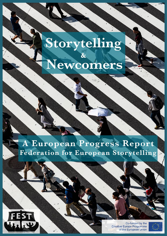# Storytelling Newcomers

# A European Progress Report **Federation for European Storytelling**



Co-funded by the **Creative Europe Programme** of the European Union

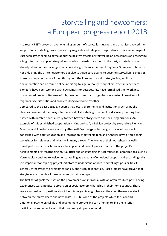# Storytelling and newcomers: a European progress report 2018

In a recent FEST survey, an overwhelming amount of storytellers, trainers and organisers voiced their support for storytelling projects involving migrants and refugees. Respondents from a wide range of European states seem to agree about the positive effects of storytelling on newcomers and recognize a bright future for applied storytelling catering towards this group. In the past, storytellers have already taken on the challenges that come along with an audience of migrants. Some even chose to not only bring the art to newcomers but also to guide participants to become storytellers. Echoes of these past experiences are found throughout the European world of storytelling, yet little documentation can be found online in this digital age. Although storytellers, often independent pioneers, have been working with newcomers for decades, few have formalised their work into documented projects. Because of this, new performers and organizers interested in working with migrants face difficulties and problems long overcome by others.

Compared to the past decade, it seems that local governments and institutions such as public libraries have found their way into the world of storytelling. The point of discovery has long been passed with durable bonds already formed between storytellers and social organizations. An example of this established cooperation is 'Ons Verhaal', a Belgian project by storytellers Rien van Meensel and Annelies van Camp. Together with Vormingplus Limburg, a provincial non-profit concerned with adult education and integration, storytellers Rien and Annelies have offered their workshops for refugees and migrants in many a town. The format of their workshop is a welldeveloped product which can easily be applied in different places. Thanks to the project's achievements of strengthening mutual trust and encouraging critical reflection, organizations such as Vormingplus continue to welcome storytelling as a means of emotional support and expanding skills. It is important for aspiring project initiators to understand applied storytelling's possibilities. In general, three types of development and support can be identified. Past projects have proven that storytellers can tackle all three or focus on just one type.

The first set of goals focusses on the newcomer as an individual with an often troubled past, having experienced wars, political oppression or socio-economic hardship in their home country. These goals also deal with questions about identity migrants might have as they find themselves stuck between their birthplaces and new hosts. LISTEN is one of the projects which focus on this emotional, psychological aid and development storytelling can offer. By telling their stories, participants can reconcile with their past and gain peace of mind.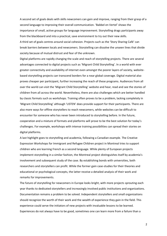A second set of goals deals with skills newcomers can gain and improve, ranging from their grasp of a second language to improving their overall communication. 'Babbel en Vertel' shows the importance of small, active groups for language improvement. Storytelling drags participants away from the blackboard and into a practical, save environment to try out their new skills. A third set of goals centres around social cohesion. Projects such as the 'Story Sharing Café' can break barriers between locals and newcomers. Storytelling can dissolve the unseen lines that divide society because of mutual distrust and fear of the unknown.

Digital platforms are rapidly changing the scale and reach of storytelling projects. There are several advantages connected to digital projects such as 'Migrant Child Storytelling'. In a world with ever greater connectivity and availability of internet even amongst the poorer layers of society, websitebased storytelling projects can transcend borders for a near global coverage. Digital material also proves cheaper per participant, further increasing the reach of these programs. Audiences from all over the world can visit the 'Migrant Child Storytelling' website and hear, read and see the stories of children from all across the world. Nevertheless, there are also challenges which are better handled by classic formats such as workshops. Training often proves to be a problem, lacking completely in 'Migrant Child Storytelling' although 'LISTEN' does provide support for their participants. There are also more ways for offline storytellers to reach newcomers, while websites can be difficult to encounter for someone who has never been introduced to storytelling before. In the future, cooperation and a mixture of formats and platforms will prove to be the best solution for today's challenges. For example, workshops with intense training possibilities can spread their stories on digital platforms.

A last highlight goes to storytelling and academia, following a Canadian example. The Creative Expression Workshops for Immigrant and Refugee Children project in Montreal tries to support children who are learning French as a second language. While plenty of European projects implement storytelling in a similar fashion, the Montreal project distinguishes itself by academia's involvement and subsequent study of the case. By establishing bonds with universities, both researchers and storytellers can profit. While the former gain case-studies for their theories and educational or psychological concepts, the latter receive a detailed analysis of their work and remarks for improvements.

The future of storytelling for newcomers in Europe looks bright, with more projects sprouting each year thanks to dedicated storytellers and increasingly involved public institutions and organizations. Documentation remains a problem to be solved. Independent storytellers and small organizations should recognize the worth of their work and the wealth of experience they gain in the field. This experience could serve the initiators of new projects with invaluable lessons to be learned. Experiences do not always have to be good, sometimes one can learn more from a failure than a

2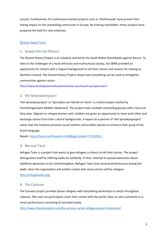success. Furthermore, EU-commission backed projects such as 'Sheherazade' have proven their lasting impact on the storytelling community in Europe. By training storytellers, these projects have prepared the field for new initiatives.

# GOOD PRACTICES

# 1. SHARED HISTORY PROJECT

The Shared History Project is an initiative started by the South Belfast Roundtable against Racism. To take on the challenges of a multi-ethnicity and multicultural society, the SBRR provided an opportunity for citizens with a migrant background to tell their stories and reasons for moving to Northern-Ireland. The Shared History Project shows how storytelling can be used to strengthen communities against racism.

http://www.developmenteducationreview.com/issue4-perspectives7

# 2. HET SPROOKJESPROJECT

'Het Sprookjesproject' or 'Sprookjes van Heinde en Verre' is a Dutch project started by Vluchtelingenwerk Midden-Nederland. The project hosts multiple storytelling groups with a focus on fairy tales. Migrant or refugee women with children are given an opportunity to meet each other and exchange stories from their cultural backgrounds. A report on a partner of 'Het Sprookjesproject' states that the initiative prevents social isolation and enables women to enhance their grasp of the Dutch language.

Report:<http://fontys.surfsharekit.nl:8080/get/smpid:27153/DS1/>

# 3. REFUGEE TALES

Refugee Tales is a project that wants to give refugees a chance to tell their stories. The project distinguishes itself by offering walks for solidarity. In their attempt to spread awareness about indefinite detention in the United Kingdom, Refugee Tales hosts several performances during the walks. Soon the organization will publish a book with many stories told by refugees.

<http://refugeetales.org/>

## 4. THE CARAVAN

The Caravan project provides Syrian refugees with storytelling workshops in camps throughout Lebanon. Not only can participants share their stories with the world, they can also contribute to a street performance consisting of recorded media.

<http://www.theatretemoin.com/the-caravan-syrian-refugee-project-in-lebanon/>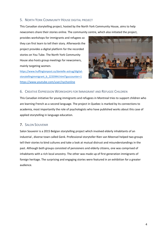# 5. NORTH YORK COMMUNITY HOUSE DIGITAL PROJECT

This Canadian storytelling project, hosted by the North York Community House, aims to help newcomers share their stories online. The community centre, which also initiated the project,

provides workshops for immigrants and refugees so they can first learn to tell their story. Afterwards the project provides a digital platform for the recorded stories on You Tube. The North York Community House also hosts group meetings for newcomers, mainly targeting women.

[https://www.huffingtonpost.ca/danielle-astrug/digital](https://www.huffingtonpost.ca/danielle-astrug/digital-storytellingimmigrant_b_2233944.html?guccounter=1)[storytellingimmigrant\\_b\\_2233944.html?guccounter=1](https://www.huffingtonpost.ca/danielle-astrug/digital-storytellingimmigrant_b_2233944.html?guccounter=1) <https://www.youtube.com/user/nychonline>



# 6. CREATIVE EXPRESSION WORKSHOPS FOR IMMIGRANT AND REFUGEE CHILDREN

This Canadian initiative for young immigrants and refugees in Montreal tries to support children who are learning French as a second language. The project in Quebec is marked by its connections to academia, most importantly the role of psychologists who have published works about this case of applied storytelling in language education.

## 7. SALON SOUVENIR

Salon Souvenir is a 2015 Belgian storytelling project which involved elderly inhabitants of an industrial , diverse town called Genk. Professional storyteller Rien van Meensel helped two groups tell their stories to bind cultures and take a look at mutual distrust and misunderstandings in the past. Although both groups consisted of pensioners and elderly citizens, one was comprised of inhabitants with a rich local ancestry. The other was made up of first generation immigrants of foreign heritage. The surprising and engaging stories were featured in an exhibition for a greater audience.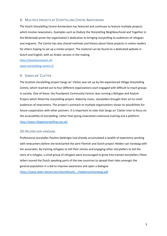# 8. MULTIPLE PROJECTS BY STORYTELLING CENTRE AMSTERDAM

The Dutch Storytelling Centre Amsterdam has featured and continues to feature multiple projects which involve newcomers. Examples such as Osdorp the Storytelling Neighbourhood and Together in the Molenwijk prove the organisation's dedication to bringing storytelling to audiences of refugees and migrants. The Centre has also shared methods and theory about these projects in online readers for others hoping to set up a similar project. The material can be found on a dedicated website in Dutch and English, with an Arabic version in the making.

<http://sharetoconnect.nl/> [www.storytelling-centre.nl](http://www.storytelling-centre.nl/)

# 9. SANGS AN' CLATTER

The Scottish storytelling project Sangs an' Clatter was set up by the experienced Village Storytelling Centre, which reached out to four different organizations each engaged with difficult to reach groups in society. One of these, the Possilpoint Community Centre, was running a Refugee and Asylum Project which fitted the storytelling project. Aided by music, storytellers brought their art to small audiences of newcomers. The project's outreach to multiple organizations shows its possibilities for future cooperation with other partners. It is important to note that Sangs an' Clatter tries to focus on the accessibility of storytelling, rather than giving newcomers extensive training and a platform. <http://www.villagestorytelling.org.uk/>

#### 10.HELDEN VAN VANDAAG

Professional storyteller Pauline Seebregts had already accumulated a wealth of experience working with newcomers before she kickstarted the joint Flemish and Dutch project Helden van Vandaag with her associates. By training refugees to tell their stories and engaging other storytellers to tell the story of a refugee, a small group of refugees were encouraged to grow into trained storytellers.These tellers toured the Dutch speaking parts of the low countries to spread their tales amongst the general population in a bid to improve awareness and open a dialogue. <https://www.alden-biesen.be/sites/default/.../HeldenvanVandaag.pdf>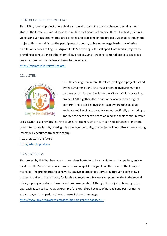# 11.MIGRANT CHILD STORYTELLING

This digital, running project offers children from all around the world a chance to send in their stories. The format remains diverse to stimulate participants of many cultures. The texts, pictures, video's and various other stories are collected and displayed on the project's website. Although the project offers no training to the participants, it does try to break language barriers by offering translation services to English. Migrant Child Storytelling sets itself apart from similar projects by providing a connection to other storytelling projects. Small, training-centered projects can gain a large platform for their artwork thanks to this service.

<https://migrantchildstorytelling.org/>

# 12. LISTEN



LISTEN: learning from intercultural storytelling is a project backed by the EU Commission's Erasmus+ program involving multiple partners across Europe. Similar to the Migrant Child Storytelling project, LISTEN gathers the stories of newcomers on a digital platform. The latter distinguishes itself by targeting an adult audience and keeping to a radio format, specifically attempting to improve the participant's peace of mind and their communicative

skills. LISTEN also provides learning courses for trainers who in turn can help refugees or migrants grow into storytellers. By offering this training opportunity, the project will most likely have a lasting impact will encourage trainers to set up

new projects in the future.

<http://listen.bupnet.eu/>

#### 13.SILENT BOOKS

This project by IBBY has been creating wordless books for migrant children on Lampedusa, an isle located in the Mediterranean and known as a hotspot for migrants on the move to the European mainland. The project tries to achieve its passive approach to storytelling through books in two phases. In a first phase, a library for locals and migrants alike was set up on the isle. In the second phase, a yearly repertoire of wordless books was created. Although the project retains a passive approach, it can still serve as an example for storytellers because of its reach and possibilities to expand beyond Lampedusa due to its use of pictoral language.

<http://www.ibby.org/awards-activities/activities/silent-books/?L=0>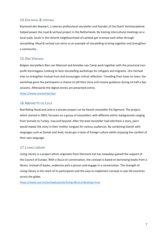# 14.EEN MAAL & VERHAAL

Raymond den Boestert, a veteran professional storyteller and founder of the Dutch Vertelacademie helped power the maal & verhaal project in the Netherlands. By hosting intercultural meetings on a local scale, locals in the Utrecht neighbourhood of Lombok got to know each other through storytelling. Maal & verhaal can serve as an example of storytelling to bring together and strengthen a community.

# 15.ONS VERHAAL

Belgian storytellers Rien van Meensel and Annelies van Camp work together with the provincial nonprofit Vormingplus Limburg to host storytelling workshops for refugees and migrants. Ons Verhaal tries to strengthen mutual trust and encourages critical reflection. Travelling from town to town, the workshop gives the participants a chance to tell their story and receive guidance during six half a day sessions. Afterwards the digital stories are presented online.

<https://www.onsverhaal.be/>

# 16.RØDHÆTTE OG LEILA

Red Riding Hood and Leila is a private project run by Danish storyteller Pia Sigmund. The project, which started in 2003, focusses on a group of storytellers with different ethnic backgrounds ranging from Somalia to Turkey, Iraq and beyond. After the lead storyteller had told them a story, pairs would repeat the story in their mother tongues for various audiences. By combining Danish with languages such as Somali and Arab, locals got a taste of foreign culture whilst enjoying the comfort of their own language.

# 17.LIVING LIBRARY

Living Library is a project which originates from Denmark but has nowadays gained the support of the Council of Europe. With a focus on conversation, the concept is based on borrowing books from a library. Instead of books, audiences pick a person and engage in a conversation. The strength of Living Library is the reach of its participants and the easy to implement concept in over 60 countries across the globe.

<https://www.coe.int/en/web/youth/living-library?desktop=true>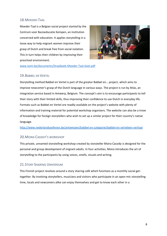# 18.MOEDER-TAAL

Moeder-Taal is a Belgian social project started by the Centrum voor Basiseducatie Kempen, an institution concerned with education. It applies storytelling in a loose way to help migrant women improve their grasp of Dutch and break free from social isolation. This in turn helps their children by improving their preschool environment.



[www.isom.be/documents/Draaiboek-Moeder-Taal-Geel.pdf](http://www.isom.be/documents/Draaiboek-Moeder-Taal-Geel.pdf)

## 19.BABBEL EN VERTEL

Storytelling method Babbel en Vertel is part of the greater Babbel en… project, which aims to improve newcomer's grasp of the Dutch language in various ways. The project is run by Atlas, an integration service based in Antwerp, Belgium. The concept's aim is to encourage participants to tell their story with their limited skills, thus improving their confidence to use Dutch in everyday life. Formats such as Babbel en Vertel are readily available on the project's website with plenty of information and training material for potential workshop organizers. The website can also be a trove of knowledge for foreign storytellers who wish to set up a similar project for their country's native language.

<http://www.nederlandsoefenen.be/antwerpen/babbel-en-categorie/babbel-en-verteleen-verhaal>

# 20.MOIRA CASSIDY'S WORKSHOP

This private, unnamed storytelling workshop created by storyteller Moira Cassidy is designed for the personal and group development of migrant adults. In four activities, Moira introduces the art of storytelling to the participants by using voices, smells, visuals and writing.

# 21. STORY SHARING UNIVERSUM

This Finnish project revolves around a story sharing café which functions as a monthly social gettogether. By involving storytellers, musicians and visitors who participate in an open-mic storytelling time, locals and newcomers alike can enjoy themselves and get to know each other in a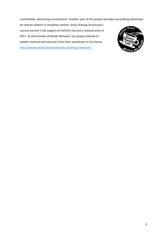comfortable, welcoming environment. Another part of the project provides storytelling workshops

for asylum seekers in reception centres. Story Sharing Universum's success earned it the support of Helsinki city and a national prize in 2017. As the founder of Nordic Network, the project intends to publish material and exercises from their workshops in the future. <http://universum.fi/universum/story-sharing-universum/>